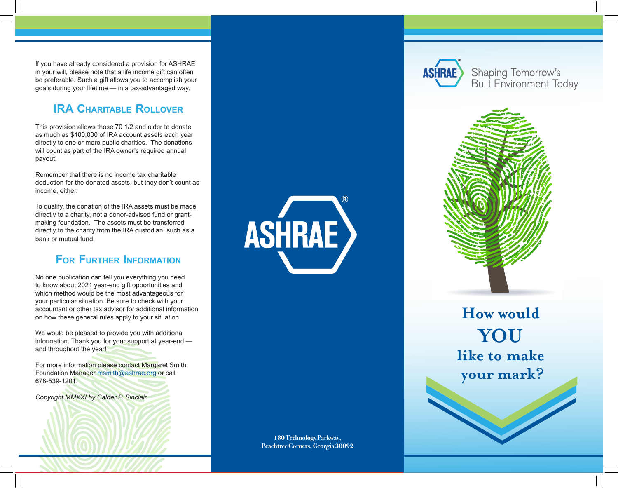If you have already considered a provision for ASHRAE in your will, please note that a life income gift can often be preferable. Such a gift allows you to accomplish your goals during your lifetime — in a tax-advantaged way.

#### MARGIN SAFE AREA: **IRA CHARITABLE ROLLOVE**

This provision allows those 70 1/2 and older to donate as much as \$100,000 of IRA account assets each year directly to one or more public charities. The donations will count as part of the IRA owner's required annual payout.

Remember that there is no income tax charitable deduction for the donated assets, but they don't count as income, either.

To qualify, the donation of the IRA assets must be made allectly to a charity, not a donor-advised fund of graf-<br>making foundation. The assets must be transferred directly to a charity, not a donor-advised fund or grantdirectly to the charity from the IRA custodian, such as a bank or mutual fund.

## **For Further Information**

BLEED LINE: which method would be the most advantageous for your particular situation. Be sure to check with your<br>accountant or other tax advisor for additional information on how these general rules apply to your situation. No one publication can tell you everything you need to know about 2021 year-end gift opportunities and your particular situation. Be sure to check with your

We would be pleased to provide you with additional<br>information, Thank you for your quanert at your and and throughout the year! information. Thank you for your support at year-end —

Foundation Manager msmith@ashrae.org or call<br>678-539-1201. For more information please contact Margaret Smith, 678-539-1201.

**ONITIVATA** 

 $\sum_{i=1}^n$ *Copyright MMXXI by Calder P. Sinclair*





**Shaping Tomorrow's Built Environment Today** 



your mark? **How would YOU like to make**

Panel

3.6875" x 8.5"

3.6875" x 8.5" **Peachtree Corners, Georgia 30092180 Technology Parkway,**